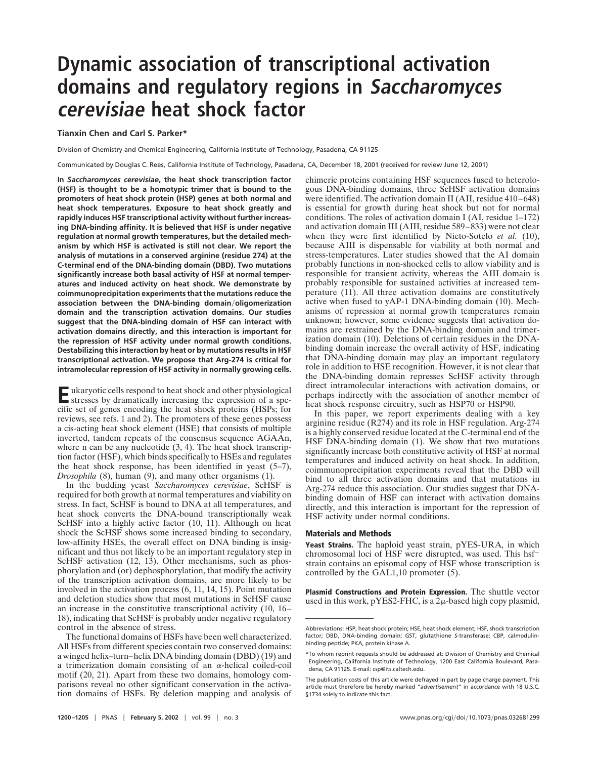## **Dynamic association of transcriptional activation domains and regulatory regions in Saccharomyces cerevisiae heat shock factor**

**Tianxin Chen and Carl S. Parker\***

Division of Chemistry and Chemical Engineering, California Institute of Technology, Pasadena, CA 91125

Communicated by Douglas C. Rees, California Institute of Technology, Pasadena, CA, December 18, 2001 (received for review June 12, 2001)

**In** *Saccharomyces cerevisiae***, the heat shock transcription factor (HSF) is thought to be a homotypic trimer that is bound to the promoters of heat shock protein (HSP) genes at both normal and heat shock temperatures. Exposure to heat shock greatly and rapidly induces HSF transcriptional activity without further increasing DNA-binding affinity. It is believed that HSF is under negative regulation at normal growth temperatures, but the detailed mechanism by which HSF is activated is still not clear. We report the analysis of mutations in a conserved arginine (residue 274) at the C-terminal end of the DNA-binding domain (DBD). Two mutations significantly increase both basal activity of HSF at normal temperatures and induced activity on heat shock. We demonstrate by coimmunoprecipitation experiments that the mutations reduce the association between the DNA-binding domainoligomerization domain and the transcription activation domains. Our studies suggest that the DNA-binding domain of HSF can interact with activation domains directly, and this interaction is important for the repression of HSF activity under normal growth conditions. Destabilizing this interaction by heat or by mutations results in HSF transcriptional activation. We propose that Arg-274 is critical for intramolecular repression of HSF activity in normally growing cells.**

**E**ukaryotic cells respond to heat shock and other physiological stresses by dramatically increasing the expression of a specific set of genes encoding the heat shock proteins (HSPs; for reviews, see refs. 1 and 2). The promoters of these genes possess a cis-acting heat shock element (HSE) that consists of multiple inverted, tandem repeats of the consensus sequence AGAAn, where n can be any nucleotide  $(3, 4)$ . The heat shock transcription factor (HSF), which binds specifically to HSEs and regulates the heat shock response, has been identified in yeast (5–7), *Drosophila* (8), human (9), and many other organisms (1).

In the budding yeast *Saccharomyces cerevisiae*, ScHSF is required for both growth at normal temperatures and viability on stress. In fact, ScHSF is bound to DNA at all temperatures, and heat shock converts the DNA-bound transcriptionally weak ScHSF into a highly active factor (10, 11). Although on heat shock the ScHSF shows some increased binding to secondary, low-affinity HSEs, the overall effect on DNA binding is insignificant and thus not likely to be an important regulatory step in ScHSF activation (12, 13). Other mechanisms, such as phosphorylation and (or) dephosphorylation, that modify the activity of the transcription activation domains, are more likely to be involved in the activation process (6, 11, 14, 15). Point mutation and deletion studies show that most mutations in ScHSF cause an increase in the constitutive transcriptional activity (10, 16– 18), indicating that ScHSF is probably under negative regulatory control in the absence of stress.

The functional domains of HSFs have been well characterized. All HSFs from different species contain two conserved domains: a winged helix–turn–helix DNA binding domain (DBD) (19) and a trimerization domain consisting of an  $\alpha$ -helical coiled-coil motif (20, 21). Apart from these two domains, homology comparisons reveal no other significant conservation in the activation domains of HSFs. By deletion mapping and analysis of chimeric proteins containing HSF sequences fused to heterologous DNA-binding domains, three ScHSF activation domains were identified. The activation domain II (AII, residue 410–648) is essential for growth during heat shock but not for normal conditions. The roles of activation domain I (AI, residue 1–172) and activation domain III (AIII, residue 589–833) were not clear when they were first identified by Nieto-Sotelo *et al.* (10), because AIII is dispensable for viability at both normal and stress-temperatures. Later studies showed that the AI domain probably functions in non-shocked cells to allow viability and is responsible for transient activity, whereas the AIII domain is probably responsible for sustained activities at increased temperature (11). All three activation domains are constitutively active when fused to yAP-1 DNA-binding domain (10). Mechanisms of repression at normal growth temperatures remain unknown; however, some evidence suggests that activation domains are restrained by the DNA-binding domain and trimerization domain (10). Deletions of certain residues in the DNAbinding domain increase the overall activity of HSF, indicating that DNA-binding domain may play an important regulatory role in addition to HSE recognition. However, it is not clear that the DNA-binding domain represses ScHSF activity through direct intramolecular interactions with activation domains, or perhaps indirectly with the association of another member of heat shock response circuitry, such as HSP70 or HSP90.

In this paper, we report experiments dealing with a key arginine residue (R274) and its role in HSF regulation. Arg-274 is a highly conserved residue located at the C-terminal end of the HSF DNA-binding domain (1). We show that two mutations significantly increase both constitutive activity of HSF at normal temperatures and induced activity on heat shock. In addition, coimmunoprecipitation experiments reveal that the DBD will bind to all three activation domains and that mutations in Arg-274 reduce this association. Our studies suggest that DNAbinding domain of HSF can interact with activation domains directly, and this interaction is important for the repression of HSF activity under normal conditions.

## **Materials and Methods**

**Yeast Strains.** The haploid yeast strain, pYES-URA, in which chromosomal loci of HSF were disrupted, was used. This hsf strain contains an episomal copy of HSF whose transcription is controlled by the GAL1,10 promoter (5).

**Plasmid Constructions and Protein Expression.** The shuttle vector used in this work, pYES2-FHC, is a  $2\mu$ -based high copy plasmid,

Abbreviations: HSP, heat shock protein; HSE, heat shock element; HSF, shock transcription factor; DBD, DNA-binding domain; GST, glutathione *S*-transferase; CBP, calmodulinbinding peptide; PKA, protein kinase A.

<sup>\*</sup>To whom reprint requests should be addressed at: Division of Chemistry and Chemical Engineering, California Institute of Technology, 1200 East California Boulevard, Pasadena, CA 91125. E-mail: csp@its.caltech.edu.

The publication costs of this article were defrayed in part by page charge payment. This article must therefore be hereby marked "*advertisement*" in accordance with 18 U.S.C. §1734 solely to indicate this fact.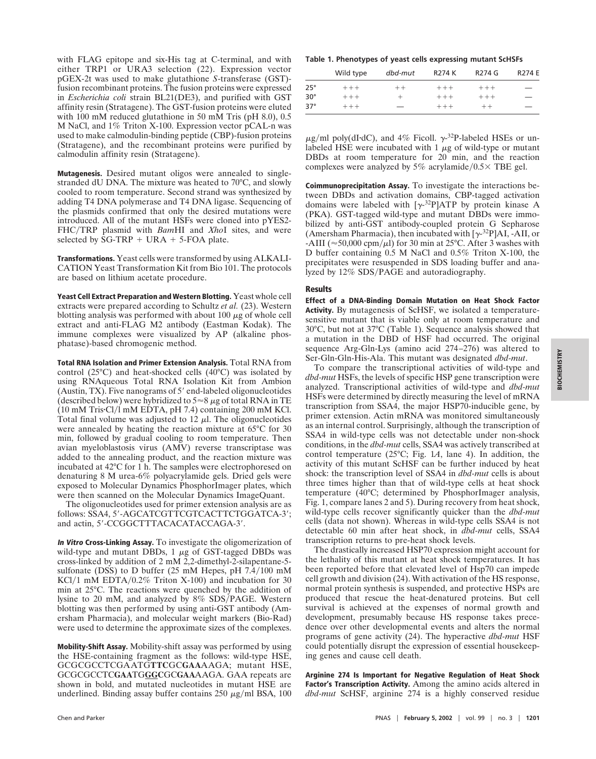with FLAG epitope and six-His tag at C-terminal, and with either TRP1 or URA3 selection (22). Expression vector pGEX-2t was used to make glutathione *S*-transferase (GST) fusion recombinant proteins. The fusion proteins were expressed in *Escherichia coli* strain BL21(DE3), and purified with GST affinity resin (Stratagene). The GST-fusion proteins were eluted with 100 mM reduced glutathione in 50 mM Tris (pH 8.0), 0.5 M NaCl, and 1% Triton X-100. Expression vector pCAL-n was used to make calmodulin-binding peptide (CBP)-fusion proteins (Stratagene), and the recombinant proteins were purified by calmodulin affinity resin (Stratagene).

**Mutagenesis.** Desired mutant oligos were annealed to singlestranded dU DNA. The mixture was heated to 70°C, and slowly cooled to room temperature. Second strand was synthesized by adding T4 DNA polymerase and T4 DNA ligase. Sequencing of the plasmids confirmed that only the desired mutations were introduced. All of the mutant HSFs were cloned into pYES2- FHC/TRP plasmid with *Bam*HI and *XhoI* sites, and were selected by  $SG-TRP + URA + 5-FOA$  plate.

**Transformations.** Yeast cells were transformed by using ALKALI-CATION Yeast Transformation Kit from Bio 101. The protocols are based on lithium acetate procedure.

**Yeast Cell Extract Preparation and Western Blotting.** Yeast whole cell extracts were prepared according to Schultz *et al.* (23). Western blotting analysis was performed with about 100  $\mu$ g of whole cell extract and anti-FLAG M2 antibody (Eastman Kodak). The immune complexes were visualized by AP (alkaline phosphatase)-based chromogenic method.

**Total RNA Isolation and Primer Extension Analysis.** Total RNA from control (25°C) and heat-shocked cells (40°C) was isolated by using RNAqueous Total RNA Isolation Kit from Ambion (Austin, TX). Five nanograms of  $5'$  end-labeled oligonucleotides (described below) were hybridized to  $5 \approx 8 \mu$ g of total RNA in TE  $(10 \text{ mM Tris-Cl/l mM EDTA, pH 7.4})$  containing 200 mM KCl. Total final volume was adjusted to  $12 \mu l$ . The oligonucleotides were annealed by heating the reaction mixture at 65°C for 30 min, followed by gradual cooling to room temperature. Then avian myeloblastosis virus (AMV) reverse transcriptase was added to the annealing product, and the reaction mixture was incubated at 42°C for 1 h. The samples were electrophoresed on denaturing 8 M urea-6% polyacrylamide gels. Dried gels were exposed to Molecular Dynamics PhosphorImager plates, which were then scanned on the Molecular Dynamics ImageQuant.

The oligonucleotides used for primer extension analysis are as follows: SSA4, 5'-AGCATCGTTCGTCACTTCTGGATCA-3'; and actin, 5'-CCGGCTTTACACATACCAGA-3'.

**In Vitro Cross-Linking Assay.** To investigate the oligomerization of wild-type and mutant DBDs,  $1 \mu$ g of GST-tagged DBDs was cross-linked by addition of 2 mM 2,2-dimethyl-2-silapentane-5 sulfonate (DSS) to D buffer (25 mM Hepes, pH  $7.4/100$  mM KCl/1 mM EDTA/0.2% Triton X-100) and incubation for 30 min at 25°C. The reactions were quenched by the addition of lysine to 20 mM, and analyzed by  $8\%$  SDS/PAGE. Western blotting was then performed by using anti-GST antibody (Amersham Pharmacia), and molecular weight markers (Bio-Rad) were used to determine the approximate sizes of the complexes.

**Mobility-Shift Assay.** Mobility-shift assay was performed by using the HSE-containing fragment as the follows: wild-type HSE, GCGCGCCTCGAATG**TTC**GC**GAA**AAGA; mutant HSE, GCGCGCCTC**GAA**TG**GGC**GC**GAA**AAGA. GAA repeats are shown in bold, and mutated nucleotides in mutant HSE are underlined. Binding assay buffer contains  $250 \mu g/ml$  BSA,  $100$ 

**Table 1. Phenotypes of yeast cells expressing mutant ScHSFs**

|            | Wild type | dbd-mut | R274 K  | R274 G  | <b>R274 E</b> |
|------------|-----------|---------|---------|---------|---------------|
| $25^\circ$ | $+++$     | $++$    | $+ + +$ | $+ + +$ |               |
| $30^\circ$ | $+++$     | $\div$  | $+ + +$ | $+ + +$ |               |
| $37^\circ$ | $++ +$    |         | $++ +$  | $++$    |               |

 $\mu$ g/ml poly(dI·dC), and 4% Ficoll.  $\gamma$ -<sup>32</sup>P-labeled HSEs or unlabeled HSE were incubated with  $1 \mu$ g of wild-type or mutant DBDs at room temperature for 20 min, and the reaction complexes were analyzed by 5% acrylamide/0.5 $\times$  TBE gel.

**Coimmunoprecipitation Assay.** To investigate the interactions between DBDs and activation domains, CBP-tagged activation domains were labeled with  $[\gamma^{-32}P]ATP$  by protein kinase A (PKA). GST-tagged wild-type and mutant DBDs were immobilized by anti-GST antibody-coupled protein G Sepharose (Amersham Pharmacia), then incubated with  $[\gamma^{32}P]$ AI, -AII, or -AIII ( $\approx$  50,000 cpm/ $\mu$ l) for 30 min at 25°C. After 3 washes with D buffer containing 0.5 M NaCl and 0.5% Triton X-100, the precipitates were resuspended in SDS loading buffer and analyzed by 12% SDS/PAGE and autoradiography.

## **Results**

**Effect of a DNA-Binding Domain Mutation on Heat Shock Factor Activity.** By mutagenesis of ScHSF, we isolated a temperaturesensitive mutant that is viable only at room temperature and 30°C, but not at 37°C (Table 1). Sequence analysis showed that a mutation in the DBD of HSF had occurred. The original sequence Arg-Gln-Lys (amino acid 274–276) was altered to Ser-Gln-Gln-His-Ala. This mutant was designated *dbd-mut*.

To compare the transcriptional activities of wild-type and *dbd-mut* HSFs, the levels of specific HSP gene transcription were analyzed. Transcriptional activities of wild-type and *dbd-mut* HSFs were determined by directly measuring the level of mRNA transcription from SSA4, the major HSP70-inducible gene, by primer extension. Actin mRNA was monitored simultaneously as an internal control. Surprisingly, although the transcription of SSA4 in wild-type cells was not detectable under non-shock conditions, in the *dbd-mut* cells, SSA4 was actively transcribed at control temperature (25°C; Fig. 1*A*, lane 4). In addition, the activity of this mutant ScHSF can be further induced by heat shock: the transcription level of SSA4 in *dbd-mut* cells is about three times higher than that of wild-type cells at heat shock temperature (40°C; determined by PhosphorImager analysis, Fig. 1, compare lanes 2 and 5). During recovery from heat shock, wild-type cells recover significantly quicker than the *dbd-mut* cells (data not shown). Whereas in wild-type cells SSA4 is not detectable 60 min after heat shock, in *dbd-mut* cells, SSA4 transcription returns to pre-heat shock levels.

The drastically increased HSP70 expression might account for the lethality of this mutant at heat shock temperatures. It has been reported before that elevated level of Hsp70 can impede cell growth and division (24). With activation of the HS response, normal protein synthesis is suspended, and protective HSPs are produced that rescue the heat-denatured proteins. But cell survival is achieved at the expenses of normal growth and development, presumably because HS response takes precedence over other developmental events and alters the normal programs of gene activity (24). The hyperactive *dbd-mut* HSF could potentially disrupt the expression of essential housekeeping genes and cause cell death.

**Arginine 274 Is Important for Negative Regulation of Heat Shock Factor's Transcription Activity.** Among the amino acids altered in *dbd-mut* ScHSF, arginine 274 is a highly conserved residue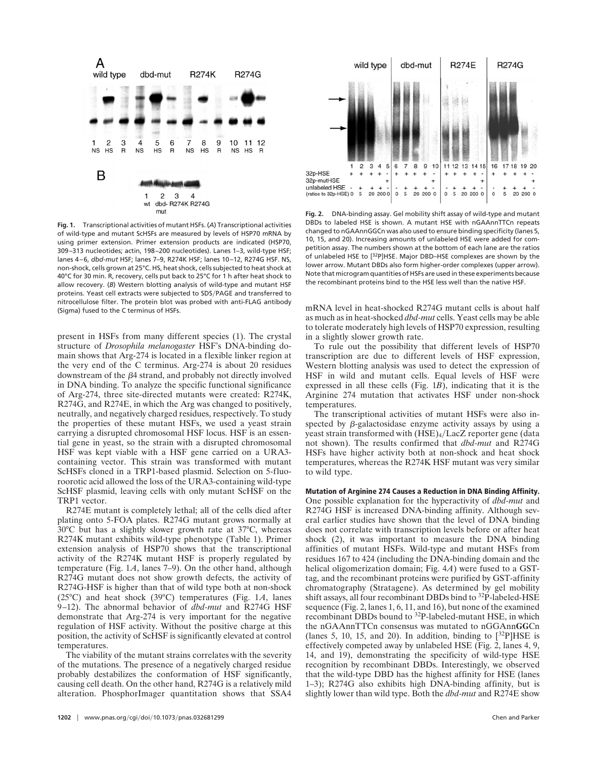

**Fig. 1.** Transcriptional activities of mutant HSFs. (*A*) Transcriptional activities of wild-type and mutant ScHSFs are measured by levels of HSP70 mRNA by using primer extension. Primer extension products are indicated (HSP70, 309–313 nucleotides; actin, 198–200 nucleotides). Lanes 1–3, wild-type HSF; lanes 4–6, *dbd-mut* HSF; lanes 7–9, R274K HSF; lanes 10–12, R274G HSF. NS, non-shock, cells grown at 25°C. HS, heat shock, cells subjected to heat shock at 40°C for 30 min. R, recovery, cells put back to 25°C for 1 h after heat shock to allow recovery. (*B*) Western blotting analysis of wild-type and mutant HSF proteins. Yeast cell extracts were subjected to SDS/PAGE and transferred to nitrocellulose filter. The protein blot was probed with anti-FLAG antibody (Sigma) fused to the C terminus of HSFs.

present in HSFs from many different species (1). The crystal structure of *Drosophila melanogaster* HSF's DNA-binding domain shows that Arg-274 is located in a flexible linker region at the very end of the C terminus. Arg-274 is about 20 residues downstream of the  $\beta$ 4 strand, and probably not directly involved in DNA binding. To analyze the specific functional significance of Arg-274, three site-directed mutants were created: R274K, R274G, and R274E, in which the Arg was changed to positively, neutrally, and negatively charged residues, respectively. To study the properties of these mutant HSFs, we used a yeast strain carrying a disrupted chromosomal HSF locus. HSF is an essential gene in yeast, so the strain with a disrupted chromosomal HSF was kept viable with a HSF gene carried on a URA3 containing vector. This strain was transformed with mutant ScHSFs cloned in a TRP1-based plasmid. Selection on 5-fluoroorotic acid allowed the loss of the URA3-containing wild-type ScHSF plasmid, leaving cells with only mutant ScHSF on the TRP1 vector.

R274E mutant is completely lethal; all of the cells died after plating onto 5-FOA plates. R274G mutant grows normally at 30°C but has a slightly slower growth rate at 37°C, whereas R274K mutant exhibits wild-type phenotype (Table 1). Primer extension analysis of HSP70 shows that the transcriptional activity of the R274K mutant HSF is properly regulated by temperature (Fig. 1*A*, lanes 7–9). On the other hand, although R274G mutant does not show growth defects, the activity of R274G-HSF is higher than that of wild type both at non-shock (25°C) and heat shock (39°C) temperatures (Fig. 1*A*, lanes 9–12). The abnormal behavior of *dbd-mut* and R274G HSF demonstrate that Arg-274 is very important for the negative regulation of HSF activity. Without the positive charge at this position, the activity of ScHSF is significantly elevated at control temperatures.

The viability of the mutant strains correlates with the severity of the mutations. The presence of a negatively charged residue probably destabilizes the conformation of HSF significantly, causing cell death. On the other hand, R274G is a relatively mild alteration. PhosphorImager quantitation shows that SSA4



**Fig. 2.** DNA-binding assay. Gel mobility shift assay of wild-type and mutant DBDs to labeled HSE is shown. A mutant HSE with nGAAnnTTCn repeats changed to nGAAnnGGCn was also used to ensure binding specificity (lanes 5, 10, 15, and 20). Increasing amounts of unlabeled HSE were added for competition assay. The numbers shown at the bottom of each lane are the ratios of unlabeled HSE to [32P]HSE. Major DBD–HSE complexes are shown by the lower arrow. Mutant DBDs also form higher-order complexes (upper arrow). Note that microgram quantities of HSFs are used in these experiments because the recombinant proteins bind to the HSE less well than the native HSF.

mRNA level in heat-shocked R274G mutant cells is about half as much as in heat-shocked *dbd-mut* cells. Yeast cells may be able to tolerate moderately high levels of HSP70 expression, resulting in a slightly slower growth rate.

To rule out the possibility that different levels of HSP70 transcription are due to different levels of HSF expression, Western blotting analysis was used to detect the expression of HSF in wild and mutant cells. Equal levels of HSF were expressed in all these cells (Fig. 1*B*), indicating that it is the Arginine 274 mutation that activates HSF under non-shock temperatures.

The transcriptional activities of mutant HSFs were also inspected by  $\beta$ -galactosidase enzyme activity assays by using a yeast strain transformed with (HSE)<sub>4</sub>/LacZ reporter gene (data not shown). The results confirmed that *dbd-mut* and R274G HSFs have higher activity both at non-shock and heat shock temperatures, whereas the R274K HSF mutant was very similar to wild type.

**Mutation of Arginine 274 Causes a Reduction in DNA Binding Affinity.** One possible explanation for the hyperactivity of *dbd-mut* and R274G HSF is increased DNA-binding affinity. Although several earlier studies have shown that the level of DNA binding does not correlate with transcription levels before or after heat shock (2), it was important to measure the DNA binding affinities of mutant HSFs. Wild-type and mutant HSFs from residues 167 to 424 (including the DNA-binding domain and the helical oligomerization domain; Fig. 4*A*) were fused to a GSTtag, and the recombinant proteins were purified by GST-affinity chromatography (Stratagene). As determined by gel mobility shift assays, all four recombinant DBDs bind to 32P-labeled-HSE sequence (Fig. 2, lanes 1, 6, 11, and 16), but none of the examined recombinant DBDs bound to 32P-labeled-mutant HSE, in which the nGAAnnTTCn consensus was mutated to nGGAnn**GG**Cn (lanes 5, 10, 15, and 20). In addition, binding to  $[^{32}P]HSE$  is effectively competed away by unlabeled HSE (Fig. 2, lanes 4, 9, 14, and 19), demonstrating the specificity of wild-type HSE recognition by recombinant DBDs. Interestingly, we observed that the wild-type DBD has the highest affinity for HSE (lanes 1–3); R274G also exhibits high DNA-binding affinity, but is slightly lower than wild type. Both the *dbd-mut* and R274E show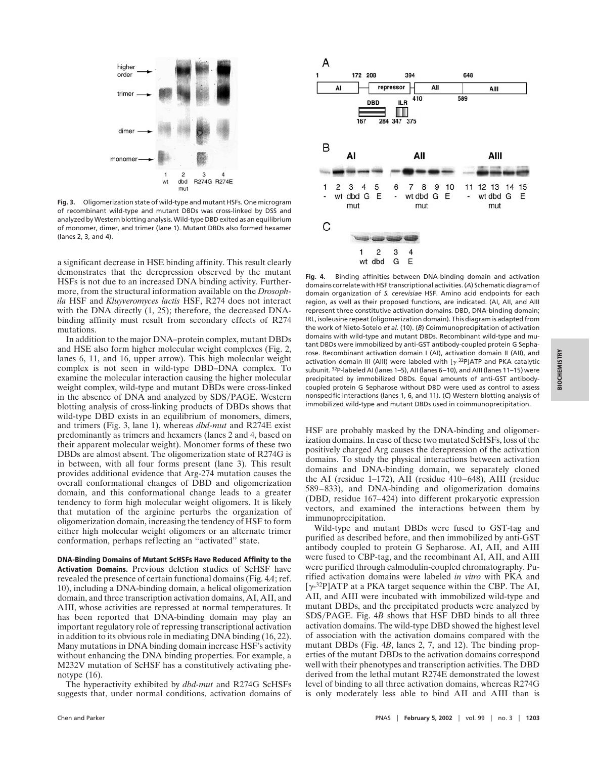

**Fig. 3.** Oligomerization state of wild-type and mutant HSFs. One microgram of recombinant wild-type and mutant DBDs was cross-linked by DSS and analyzed by Western blotting analysis. Wild-type DBD exited as an equilibrium of monomer, dimer, and trimer (lane 1). Mutant DBDs also formed hexamer (lanes 2, 3, and 4).

a significant decrease in HSE binding affinity. This result clearly demonstrates that the derepression observed by the mutant HSFs is not due to an increased DNA binding activity. Furthermore, from the structural information available on the *Drosophila* HSF and *Kluyveromyces lactis* HSF, R274 does not interact with the DNA directly (1, 25); therefore, the decreased DNAbinding affinity must result from secondary effects of R274 mutations.

In addition to the major DNA–protein complex, mutant DBDs and HSE also form higher molecular weight complexes (Fig. 2, lanes 6, 11, and 16, upper arrow). This high molecular weight complex is not seen in wild-type DBD–DNA complex. To examine the molecular interaction causing the higher molecular weight complex, wild-type and mutant DBDs were cross-linked in the absence of DNA and analyzed by SDS/PAGE. Western blotting analysis of cross-linking products of DBDs shows that wild-type DBD exists in an equilibrium of monomers, dimers, and trimers (Fig. 3, lane 1), whereas *dbd-mut* and R274E exist predominantly as trimers and hexamers (lanes 2 and 4, based on their apparent molecular weight). Monomer forms of these two DBDs are almost absent. The oligomerization state of R274G is in between, with all four forms present (lane 3). This result provides additional evidence that Arg-274 mutation causes the overall conformational changes of DBD and oligomerization domain, and this conformational change leads to a greater tendency to form high molecular weight oligomers. It is likely that mutation of the arginine perturbs the organization of oligomerization domain, increasing the tendency of HSF to form either high molecular weight oligomers or an alternate trimer conformation, perhaps reflecting an ''activated'' state.

**DNA-Binding Domains of Mutant ScHSFs Have Reduced Affinity to the Activation Domains.** Previous deletion studies of ScHSF have revealed the presence of certain functional domains (Fig. 4*A*; ref. 10), including a DNA-binding domain, a helical oligomerization domain, and three transcription activation domains, AI, AII, and AIII, whose activities are repressed at normal temperatures. It has been reported that DNA-binding domain may play an important regulatory role of repressing transcriptional activation in addition to its obvious role in mediating DNA binding (16, 22). Many mutations in DNA binding domain increase HSF's activity without enhancing the DNA binding properties. For example, a M232V mutation of ScHSF has a constitutively activating phenotype (16).

The hyperactivity exhibited by *dbd-mut* and R274G ScHSFs suggests that, under normal conditions, activation domains of



**Fig. 4.** Binding affinities between DNA-binding domain and activation domains correlate with HSF transcriptional activities. (*A*) Schematic diagram of domain organization of *S. cerevisiae* HSF. Amino acid endpoints for each region, as well as their proposed functions, are indicated. (AI, AII, and AIII represent three constitutive activation domains. DBD, DNA-binding domain; IRL, isoleusine repeat (oligomerization domain). This diagram is adapted from the work of Nieto-Sotelo *et al.* (10). (*B*) Coimmunoprecipitation of activation domains with wild-type and mutant DBDs. Recombinant wild-type and mutant DBDs were immobilized by anti-GST antibody-coupled protein G Sepharose. Recombinant activation domain I (AI), activation domain II (AII), and activation domain III (AIII) were labeled with  $[\gamma$ -<sup>32</sup>P]ATP and PKA catalytic subunit. 32P-labeled AI (lanes 1–5), AII (lanes 6–10), and AIII (lanes 11–15) were precipitated by immobilized DBDs. Equal amounts of anti-GST antibodycoupled protein G Sepharose without DBD were used as control to assess nonspecific interactions (lanes 1, 6, and 11). (*C*) Western blotting analysis of immobilized wild-type and mutant DBDs used in coimmunoprecipitation.

HSF are probably masked by the DNA-binding and oligomerization domains. In case of these two mutated ScHSFs, loss of the positively charged Arg causes the derepression of the activation domains. To study the physical interactions between activation domains and DNA-binding domain, we separately cloned the AI (residue 1–172), AII (residue 410–648), AIII (residue 589–833), and DNA-binding and oligomerization domains (DBD, residue 167–424) into different prokaryotic expression vectors, and examined the interactions between them by immunoprecipitation.

Wild-type and mutant DBDs were fused to GST-tag and purified as described before, and then immobilized by anti-GST antibody coupled to protein G Sepharose. AI, AII, and AIII were fused to CBP-tag, and the recombinant AI, AII, and AIII were purified through calmodulin-coupled chromatography. Purified activation domains were labeled *in vitro* with PKA and  $[\gamma^{32}P]$ ATP at a PKA target sequence within the CBP. The AI, AII, and AIII were incubated with immobilized wild-type and mutant DBDs, and the precipitated products were analyzed by SDS/PAGE. Fig. 4*B* shows that HSF DBD binds to all three activation domains. The wild-type DBD showed the highest level of association with the activation domains compared with the mutant DBDs (Fig. 4*B*, lanes 2, 7, and 12). The binding properties of the mutant DBDs to the activation domains correspond well with their phenotypes and transcription activities. The DBD derived from the lethal mutant R274E demonstrated the lowest level of binding to all three activation domains, whereas R274G is only moderately less able to bind AII and AIII than is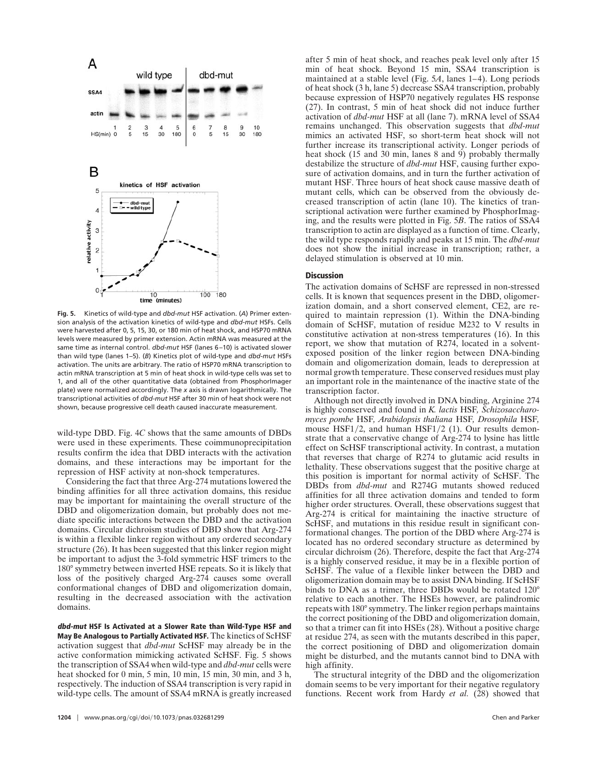

**Fig. 5.** Kinetics of wild-type and *dbd-mut* HSF activation. (*A*) Primer extension analysis of the activation kinetics of wild-type and *dbd-mut* HSFs. Cells were harvested after 0, 5, 15, 30, or 180 min of heat shock, and HSP70 mRNA levels were measured by primer extension. Actin mRNA was measured at the same time as internal control. *dbd-mut* HSF (lanes 6–10) is activated slower than wild type (lanes 1–5). (*B*) Kinetics plot of wild-type and *dbd-mut* HSFs activation. The units are arbitrary. The ratio of HSP70 mRNA transcription to actin mRNA transcription at 5 min of heat shock in wild-type cells was set to 1, and all of the other quantitative data (obtained from PhosphorImager plate) were normalized accordingly. The *x* axis is drawn logarithmically. The transcriptional activities of *dbd-mut* HSF after 30 min of heat shock were not shown, because progressive cell death caused inaccurate measurement.

wild-type DBD. Fig. 4*C* shows that the same amounts of DBDs were used in these experiments. These coimmunoprecipitation results confirm the idea that DBD interacts with the activation domains, and these interactions may be important for the repression of HSF activity at non-shock temperatures.

Considering the fact that three Arg-274 mutations lowered the binding affinities for all three activation domains, this residue may be important for maintaining the overall structure of the DBD and oligomerization domain, but probably does not mediate specific interactions between the DBD and the activation domains. Circular dichroism studies of DBD show that Arg-274 is within a flexible linker region without any ordered secondary structure (26). It has been suggested that this linker region might be important to adjust the 3-fold symmetric HSF trimers to the 180° symmetry between inverted HSE repeats. So it is likely that loss of the positively charged Arg-274 causes some overall conformational changes of DBD and oligomerization domain, resulting in the decreased association with the activation domains.

**dbd-mut HSF Is Activated at a Slower Rate than Wild-Type HSF and May Be Analogous to Partially Activated HSF.** The kinetics of ScHSF activation suggest that *dbd-mut* ScHSF may already be in the active conformation mimicking activated ScHSF. Fig. 5 shows the transcription of SSA4 when wild-type and *dbd-mut* cells were heat shocked for 0 min, 5 min, 10 min, 15 min, 30 min, and 3 h, respectively. The induction of SSA4 transcription is very rapid in wild-type cells. The amount of SSA4 mRNA is greatly increased after 5 min of heat shock, and reaches peak level only after 15 min of heat shock. Beyond 15 min, SSA4 transcription is maintained at a stable level (Fig. 5*A*, lanes 1–4). Long periods of heat shock (3 h, lane 5) decrease SSA4 transcription, probably because expression of HSP70 negatively regulates HS response (27). In contrast, 5 min of heat shock did not induce further activation of *dbd-mut* HSF at all (lane 7). mRNA level of SSA4 remains unchanged. This observation suggests that *dbd-mut* mimics an activated HSF, so short-term heat shock will not further increase its transcriptional activity. Longer periods of heat shock  $(15 \text{ and } 30 \text{ min})$ , lanes  $8 \text{ and } 9$ ) probably thermally destabilize the structure of *dbd-mut* HSF, causing further exposure of activation domains, and in turn the further activation of mutant HSF. Three hours of heat shock cause massive death of mutant cells, which can be observed from the obviously decreased transcription of actin (lane 10). The kinetics of transcriptional activation were further examined by PhosphorImaging, and the results were plotted in Fig. 5*B*. The ratios of SSA4 transcription to actin are displayed as a function of time. Clearly, the wild type responds rapidly and peaks at 15 min. The *dbd-mut* does not show the initial increase in transcription; rather, a delayed stimulation is observed at 10 min.

## **Discussion**

The activation domains of ScHSF are repressed in non-stressed cells. It is known that sequences present in the DBD, oligomerization domain, and a short conserved element, CE2, are required to maintain repression (1). Within the DNA-binding domain of ScHSF, mutation of residue M232 to V results in constitutive activation at non-stress temperatures (16). In this report, we show that mutation of R274, located in a solventexposed position of the linker region between DNA-binding domain and oligomerization domain, leads to derepression at normal growth temperature. These conserved residues must play an important role in the maintenance of the inactive state of the transcription factor.

Although not directly involved in DNA binding, Arginine 274 is highly conserved and found in *K. lactis* HSF*, Schizosaccharomyces pombe* HSF*, Arabidopsis thaliana* HSF*, Drosophila* HSF*,* mouse  $HSF1/2$ , and human  $HSF1/2$  (1). Our results demonstrate that a conservative change of Arg-274 to lysine has little effect on ScHSF transcriptional activity. In contrast, a mutation that reverses that charge of R274 to glutamic acid results in lethality. These observations suggest that the positive charge at this position is important for normal activity of ScHSF. The DBDs from *dbd-mut* and R274G mutants showed reduced affinities for all three activation domains and tended to form higher order structures. Overall, these observations suggest that Arg-274 is critical for maintaining the inactive structure of ScHSF, and mutations in this residue result in significant conformational changes. The portion of the DBD where Arg-274 is located has no ordered secondary structure as determined by circular dichroism (26). Therefore, despite the fact that Arg-274 is a highly conserved residue, it may be in a flexible portion of ScHSF. The value of a flexible linker between the DBD and oligomerization domain may be to assist DNA binding. If ScHSF binds to DNA as a trimer, three DBDs would be rotated 120° relative to each another. The HSEs however, are palindromic repeats with 180°symmetry. The linker region perhaps maintains the correct positioning of the DBD and oligomerization domain, so that a trimer can fit into HSEs (28). Without a positive charge at residue 274, as seen with the mutants described in this paper, the correct positioning of DBD and oligomerization domain might be disturbed, and the mutants cannot bind to DNA with high affinity.

The structural integrity of the DBD and the oligomerization domain seems to be very important for their negative regulatory functions. Recent work from Hardy *et al.* (28) showed that